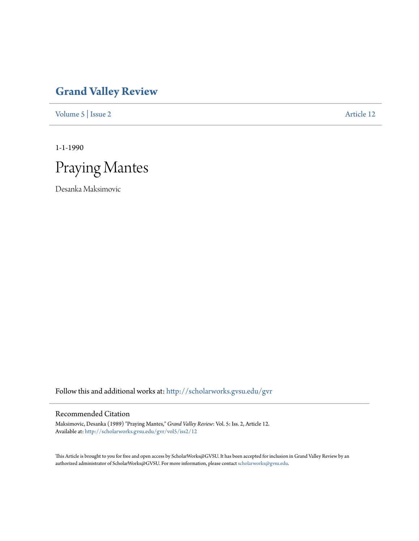## **[Grand Valley Review](http://scholarworks.gvsu.edu/gvr?utm_source=scholarworks.gvsu.edu%2Fgvr%2Fvol5%2Fiss2%2F12&utm_medium=PDF&utm_campaign=PDFCoverPages)**

[Volume 5](http://scholarworks.gvsu.edu/gvr/vol5?utm_source=scholarworks.gvsu.edu%2Fgvr%2Fvol5%2Fiss2%2F12&utm_medium=PDF&utm_campaign=PDFCoverPages) | [Issue 2](http://scholarworks.gvsu.edu/gvr/vol5/iss2?utm_source=scholarworks.gvsu.edu%2Fgvr%2Fvol5%2Fiss2%2F12&utm_medium=PDF&utm_campaign=PDFCoverPages) [Article 12](http://scholarworks.gvsu.edu/gvr/vol5/iss2/12?utm_source=scholarworks.gvsu.edu%2Fgvr%2Fvol5%2Fiss2%2F12&utm_medium=PDF&utm_campaign=PDFCoverPages)

1-1-1990



Desanka Maksimovic

Follow this and additional works at: [http://scholarworks.gvsu.edu/gvr](http://scholarworks.gvsu.edu/gvr?utm_source=scholarworks.gvsu.edu%2Fgvr%2Fvol5%2Fiss2%2F12&utm_medium=PDF&utm_campaign=PDFCoverPages)

## Recommended Citation

Maksimovic, Desanka (1989) "Praying Mantes," *Grand Valley Review*: Vol. 5: Iss. 2, Article 12. Available at: [http://scholarworks.gvsu.edu/gvr/vol5/iss2/12](http://scholarworks.gvsu.edu/gvr/vol5/iss2/12?utm_source=scholarworks.gvsu.edu%2Fgvr%2Fvol5%2Fiss2%2F12&utm_medium=PDF&utm_campaign=PDFCoverPages)

This Article is brought to you for free and open access by ScholarWorks@GVSU. It has been accepted for inclusion in Grand Valley Review by an authorized administrator of ScholarWorks@GVSU. For more information, please contact [scholarworks@gvsu.edu.](mailto:scholarworks@gvsu.edu)